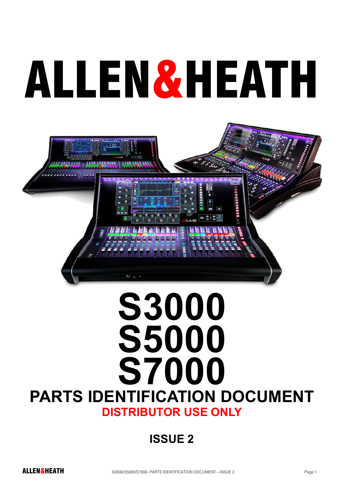# ALLEN&HEATH



# **S3000 S5000 S7000 PARTS IDENTIFICATION DOCUMENT DISTRIBUTOR USE ONLY**

### **ISSUE 2**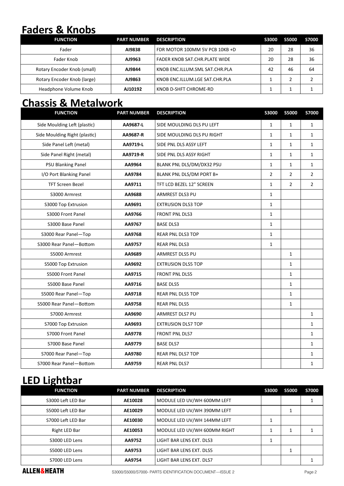#### **Faders & Knobs**

| <b>FUNCTION</b>             | <b>PART NUMBER</b> | <b>DESCRIPTION</b>             | <b>S3000</b> | <b>S5000</b> | <b>S7000</b> |
|-----------------------------|--------------------|--------------------------------|--------------|--------------|--------------|
| Fader                       | A19838             | FDR MOTOR 100MM 5V PCB 10KB +D | 20           | 28           | 36           |
| Fader Knob                  | AJ9963             | FADER KNOB SAT.CHR.PLATE WIDE  | 20           | 28           | 36           |
| Rotary Encoder Knob (small) | AJ9844             | KNOB ENC.ILLUM.SML SAT.CHR.PLA | 42           | 46           | 64           |
| Rotary Encoder Knob (large) | AJ9863             | KNOB ENC.ILLUM.LGE SAT.CHR.PLA |              |              |              |
| Headphone Volume Knob       | AJ10192            | KNOB D-SHFT CHROME-RD          |              |              |              |

#### **Chassis & Metalwork**

| <b>FUNCTION</b>               | <b>PART NUMBER</b> | <b>DESCRIPTION</b>         | <b>S3000</b>   | <b>S5000</b>   | <b>S7000</b>   |
|-------------------------------|--------------------|----------------------------|----------------|----------------|----------------|
| Side Moulding Left (plastic)  | AA9687-L           | SIDE MOULDING DLS PU LEFT  | $\mathbf{1}$   | $\mathbf{1}$   | $\mathbf{1}$   |
| Side Moulding Right (plastic) | AA9687-R           | SIDE MOULDING DLS PU RIGHT | $\mathbf{1}$   | $\mathbf{1}$   | $\mathbf{1}$   |
| Side Panel Left (metal)       | AA9719-L           | SIDE PNL DLS ASSY LEFT     | 1              | $\mathbf{1}$   | $\mathbf{1}$   |
| Side Panel Right (metal)      | AA9719-R           | SIDE PNL DLS ASSY RIGHT    | $\mathbf{1}$   | $\mathbf{1}$   | $\mathbf{1}$   |
| <b>PSU Blanking Panel</b>     | AA9964             | BLANK PNL DLS/DM/DX32 PSU  | $\mathbf{1}$   | $\mathbf{1}$   | $\mathbf{1}$   |
| I/O Port Blanking Panel       | AA9784             | BLANK PNL DLS/DM PORT B+   | $\overline{2}$ | $\overline{2}$ | $\overline{2}$ |
| <b>TFT Screen Bezel</b>       | AA9711             | TFT LCD BEZEL 12" SCREEN   | $\mathbf{1}$   | $\overline{2}$ | $\overline{2}$ |
| S3000 Armrest                 | AA9688             | ARMREST DLS3 PU            | $\mathbf{1}$   |                |                |
| S3000 Top Extrusion           | AA9691             | <b>EXTRUSION DLS3 TOP</b>  | $\mathbf{1}$   |                |                |
| S3000 Front Panel             | AA9766             | <b>FRONT PNL DLS3</b>      | $\mathbf{1}$   |                |                |
| S3000 Base Panel              | AA9767             | <b>BASE DLS3</b>           | $\mathbf{1}$   |                |                |
| S3000 Rear Panel-Top          | AA9768             | <b>REAR PNL DLS3 TOP</b>   | $\mathbf{1}$   |                |                |
| S3000 Rear Panel-Bottom       | AA9757             | <b>REAR PNL DLS3</b>       | $\mathbf{1}$   |                |                |
| S5000 Armrest                 | AA9689             | ARMREST DLS5 PU            |                | $\mathbf{1}$   |                |
| S5000 Top Extrusion           | AA9692             | <b>EXTRUSION DLS5 TOP</b>  |                | $\mathbf{1}$   |                |
| S5000 Front Panel             | AA9715             | FRONT PNL DLS5             |                | $\mathbf{1}$   |                |
| S5000 Base Panel              | AA9716             | <b>BASE DLS5</b>           |                | $\mathbf{1}$   |                |
| S5000 Rear Panel-Top          | AA9718             | REAR PNL DLS5 TOP          |                | $\mathbf{1}$   |                |
| S5000 Rear Panel-Bottom       | AA9758             | <b>REAR PNL DLS5</b>       |                | $\mathbf{1}$   |                |
| S7000 Armrest                 | AA9690             | <b>ARMREST DLS7 PU</b>     |                |                | $\mathbf{1}$   |
| S7000 Top Extrusion           | AA9693             | <b>EXTRUSION DLS7 TOP</b>  |                |                | $\mathbf{1}$   |
| S7000 Front Panel             | AA9778             | FRONT PNL DLS7             |                |                | $\mathbf{1}$   |
| S7000 Base Panel              | AA9779             | <b>BASE DLS7</b>           |                |                | $\mathbf{1}$   |
| S7000 Rear Panel-Top          | AA9780             | REAR PNL DLS7 TOP          |                |                | $\mathbf{1}$   |
| S7000 Rear Panel-Bottom       | AA9759             | <b>REAR PNL DLS7</b>       |                |                | $\mathbf{1}$   |

#### **LED Lightbar**

| <b>FUNCTION</b>    | <b>PART NUMBER</b> | <b>DESCRIPTION</b>           | <b>S3000</b> | <b>S5000</b> | <b>S7000</b> |
|--------------------|--------------------|------------------------------|--------------|--------------|--------------|
| S3000 Left LED Bar | AE10028            | MODULE LED UV/WH 600MM LEFT  |              |              |              |
| S5000 Left LED Bar | AE10029            | MODULE LED UV/WH 390MM LEFT  |              |              |              |
| S7000 Left LED Bar | AE10030            | MODULE LED UV/WH 144MM LEFT  | 1            |              |              |
| Right LED Bar      | AE10053            | MODULE LED UV/WH 600MM RIGHT |              |              |              |
| S3000 LED Lens     | AA9752             | LIGHT BAR LENS EXT. DLS3     | 1            |              |              |
| S5000 LED Lens     | AA9753             | LIGHT BAR LENS EXT. DLS5     |              |              |              |
| S7000 LED Lens     | AA9754             | LIGHT BAR LENS EXT. DLS7     |              |              |              |

ALLEN&HEATH S3000/S5000/S7000- PARTS IDENTIFICATION DOCUMENT—ISSUE 2 Page 2